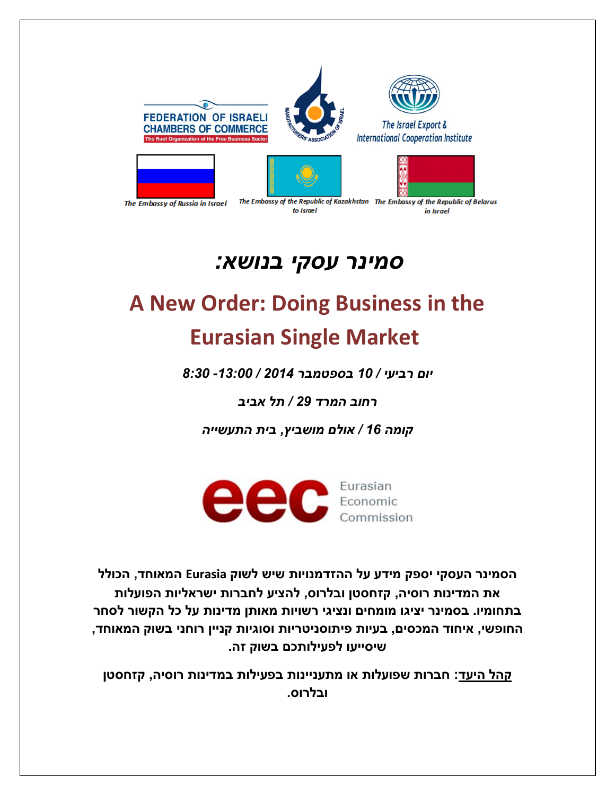









The Embassy of Russia in Israel

to Israel

The Embassy of the Republic of Kazakhstan The Embassy of the Republic of Belarus in Israel

## *סמינר עסקי בנושא:*

## **A New Order: Doing Business in the Eurasian Single Market**

*יום רביעי / 01 בספטמבר 4102 / -00:11 0:01*

*רחוב המרד 42 / תל אביב*

*קומה 01 / אולם מושביץ, בית התעשייה*



**הסמינר העסקי יספק מידע על ההזדמנויות שיש לשוק Eurasia המאוחד, הכולל את המדינות רוסיה, קזחסטן ובלרוס, להציע לחברות ישראליות הפועלות בתחומיו. בסמינר יציגו מומחים ונציגי רשויות מאותן מדינות על כל הקשור לסחר החופשי, איחוד המכסים, בעיות פיתוסניטריות וסוגיות קניין רוחני בשוק המאוחד, שיסייעו לפעילותכם בשוק זה.**

**קהל היעד: חברות שפועלות או מתעניינות בפעילות במדינות רוסיה, קזחסטן ובלרוס.**